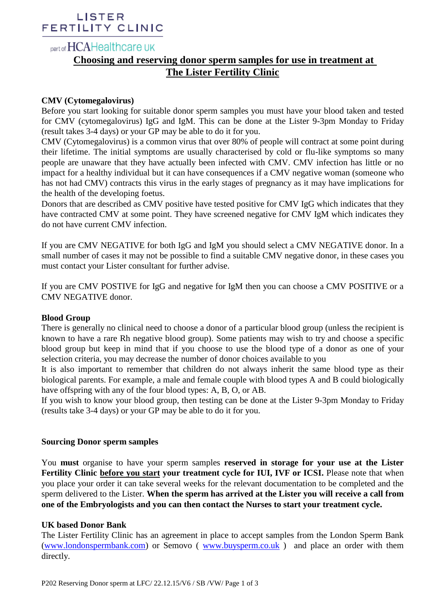## LISTER FERTILITY CLINIC

# part of HCAHealthcare UK

## **Choosing and reserving donor sperm samples for use in treatment at The Lister Fertility Clinic**

## **CMV (Cytomegalovirus)**

Before you start looking for suitable donor sperm samples you must have your blood taken and tested for CMV (cytomegalovirus) IgG and IgM. This can be done at the Lister 9-3pm Monday to Friday (result takes 3-4 days) or your GP may be able to do it for you.

CMV (Cytomegalovirus) is a common virus that over 80% of people will contract at some point during their lifetime. The initial symptoms are usually characterised by cold or flu-like symptoms so many people are unaware that they have actually been infected with CMV. CMV infection has little or no impact for a healthy individual but it can have consequences if a CMV negative woman (someone who has not had CMV) contracts this virus in the early stages of pregnancy as it may have implications for the health of the developing foetus.

Donors that are described as CMV positive have tested positive for CMV IgG which indicates that they have contracted CMV at some point. They have screened negative for CMV IgM which indicates they do not have current CMV infection.

If you are CMV NEGATIVE for both IgG and IgM you should select a CMV NEGATIVE donor. In a small number of cases it may not be possible to find a suitable CMV negative donor, in these cases you must contact your Lister consultant for further advise.

If you are CMV POSTIVE for IgG and negative for IgM then you can choose a CMV POSITIVE or a CMV NEGATIVE donor.

## **Blood Group**

There is generally no clinical need to choose a donor of a particular blood group (unless the recipient is known to have a rare Rh negative blood group). Some patients may wish to try and choose a specific blood group but keep in mind that if you choose to use the blood type of a donor as one of your selection criteria, you may decrease the number of donor choices available to you

It is also important to remember that children do not always inherit the same blood type as their biological parents. For example, a male and female couple with blood types A and B could biologically have offspring with any of the four blood types: A, B, O, or AB.

If you wish to know your blood group, then testing can be done at the Lister 9-3pm Monday to Friday (results take 3-4 days) or your GP may be able to do it for you.

## **Sourcing Donor sperm samples**

You **must** organise to have your sperm samples **reserved in storage for your use at the Lister Fertility Clinic before you start your treatment cycle for IUI, IVF or ICSI.** Please note that when you place your order it can take several weeks for the relevant documentation to be completed and the sperm delivered to the Lister. **When the sperm has arrived at the Lister you will receive a call from one of the Embryologists and you can then contact the Nurses to start your treatment cycle.**

## **UK based Donor Bank**

The Lister Fertility Clinic has an agreement in place to accept samples from the London Sperm Bank [\(www.londonspermbank.com\)](http://www.londonspermbank.com/) or Semovo ( [www.buysperm.co.uk](http://www.buysperm.co.uk/) ) and place an order with them directly.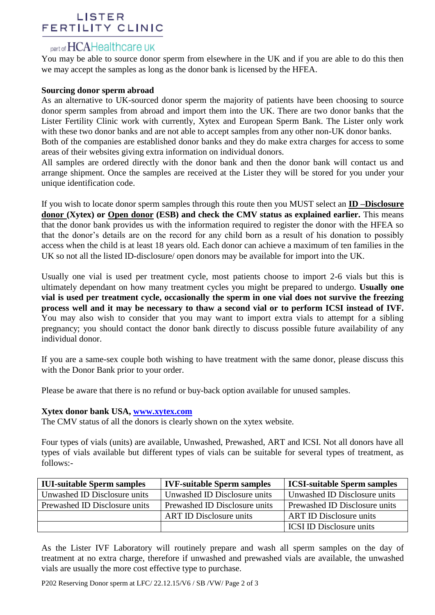## LISTER **FERTILITY CLINIC**

# part of HCAHealthcare UK

You may be able to source donor sperm from elsewhere in the UK and if you are able to do this then we may accept the samples as long as the donor bank is licensed by the HFEA.

## **Sourcing donor sperm abroad**

As an alternative to UK-sourced donor sperm the majority of patients have been choosing to source donor sperm samples from abroad and import them into the UK. There are two donor banks that the Lister Fertility Clinic work with currently, Xytex and European Sperm Bank. The Lister only work with these two donor banks and are not able to accept samples from any other non-UK donor banks.

Both of the companies are established donor banks and they do make extra charges for access to some areas of their websites giving extra information on individual donors.

All samples are ordered directly with the donor bank and then the donor bank will contact us and arrange shipment. Once the samples are received at the Lister they will be stored for you under your unique identification code.

If you wish to locate donor sperm samples through this route then you MUST select an **ID –Disclosure donor (Xytex) or Open donor (ESB) and check the CMV status as explained earlier.** This means that the donor bank provides us with the information required to register the donor with the HFEA so that the donor's details are on the record for any child born as a result of his donation to possibly access when the child is at least 18 years old. Each donor can achieve a maximum of ten families in the UK so not all the listed ID-disclosure/ open donors may be available for import into the UK.

Usually one vial is used per treatment cycle, most patients choose to import 2-6 vials but this is ultimately dependant on how many treatment cycles you might be prepared to undergo. **Usually one vial is used per treatment cycle, occasionally the sperm in one vial does not survive the freezing process well and it may be necessary to thaw a second vial or to perform ICSI instead of IVF.** You may also wish to consider that you may want to import extra vials to attempt for a sibling pregnancy; you should contact the donor bank directly to discuss possible future availability of any individual donor.

If you are a same-sex couple both wishing to have treatment with the same donor, please discuss this with the Donor Bank prior to your order.

Please be aware that there is no refund or buy-back option available for unused samples.

## **Xytex donor bank USA, [www.xytex.com](http://www.xytex.com/)**

The CMV status of all the donors is clearly shown on the xytex website.

Four types of vials (units) are available, Unwashed, Prewashed, ART and ICSI. Not all donors have all types of vials available but different types of vials can be suitable for several types of treatment, as follows:-

| <b>IUI-suitable Sperm samples</b> | <b>IVF-suitable Sperm samples</b> | <b>ICSI-suitable Sperm samples</b> |
|-----------------------------------|-----------------------------------|------------------------------------|
| Unwashed ID Disclosure units      | Unwashed ID Disclosure units      | Unwashed ID Disclosure units       |
| Prewashed ID Disclosure units     | Prewashed ID Disclosure units     | Prewashed ID Disclosure units      |
|                                   | <b>ART ID Disclosure units</b>    | <b>ART ID Disclosure units</b>     |
|                                   |                                   | <b>ICSI ID Disclosure units</b>    |

As the Lister IVF Laboratory will routinely prepare and wash all sperm samples on the day of treatment at no extra charge, therefore if unwashed and prewashed vials are available, the unwashed vials are usually the more cost effective type to purchase.

P202 Reserving Donor sperm at LFC/ 22.12.15/V6 / SB /VW/ Page 2 of 3